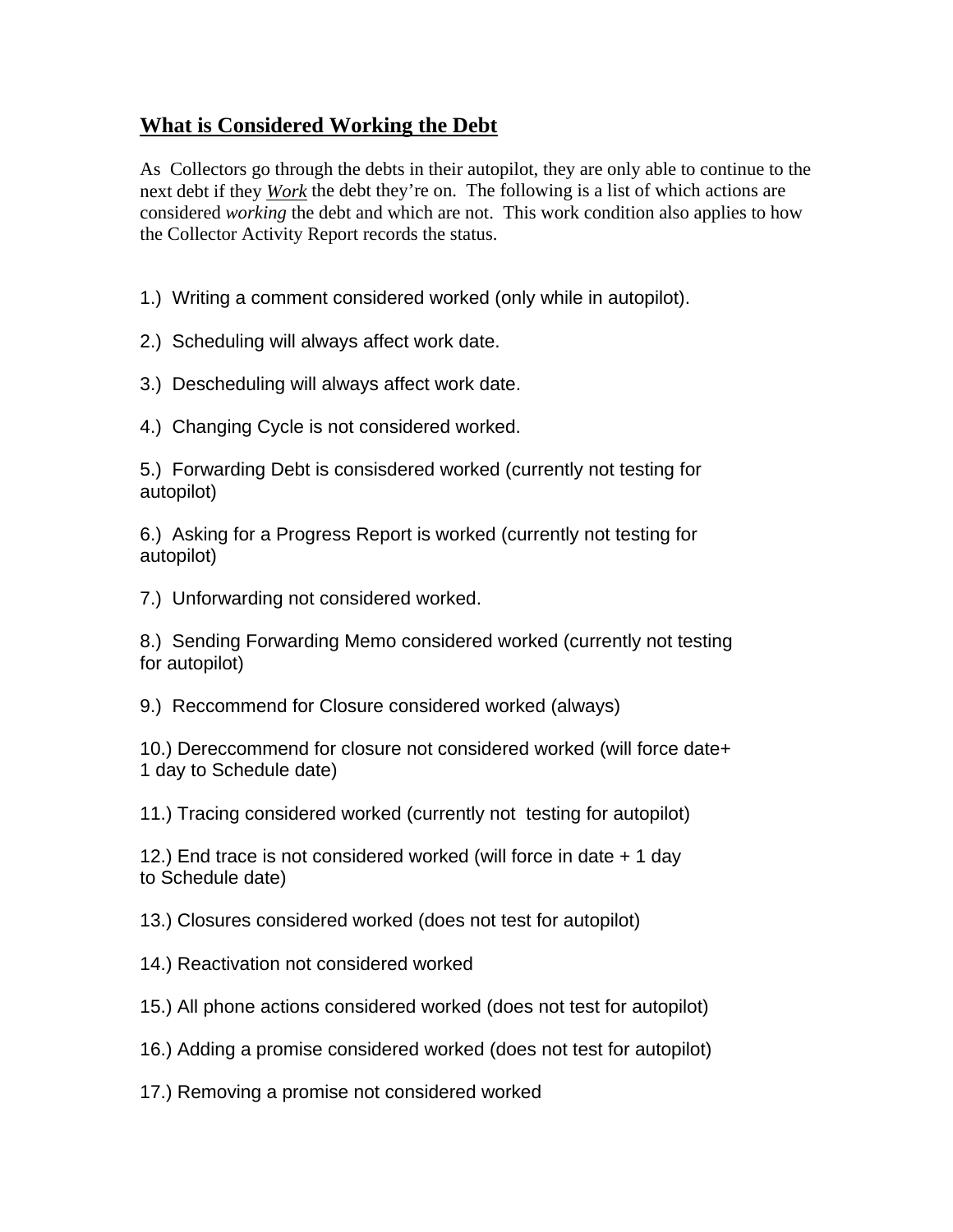## **What is Considered Working the Debt**

As Collectors go through the debts in their autopilot, they are only able to continue to the next debt if they *Work* the debt they're on. The following is a list of which actions are considered *working* the debt and which are not. This work condition also applies to how the Collector Activity Report records the status.

1.) Writing a comment considered worked (only while in autopilot).

2.) Scheduling will always affect work date.

3.) Descheduling will always affect work date.

4.) Changing Cycle is not considered worked.

5.) Forwarding Debt is consisdered worked (currently not testing for autopilot)

6.) Asking for a Progress Report is worked (currently not testing for autopilot)

7.) Unforwarding not considered worked.

8.) Sending Forwarding Memo considered worked (currently not testing for autopilot)

9.) Reccommend for Closure considered worked (always)

10.) Dereccommend for closure not considered worked (will force date+ 1 day to Schedule date)

11.) Tracing considered worked (currently not testing for autopilot)

12.) End trace is not considered worked (will force in date + 1 day to Schedule date)

13.) Closures considered worked (does not test for autopilot)

14.) Reactivation not considered worked

15.) All phone actions considered worked (does not test for autopilot)

16.) Adding a promise considered worked (does not test for autopilot)

17.) Removing a promise not considered worked